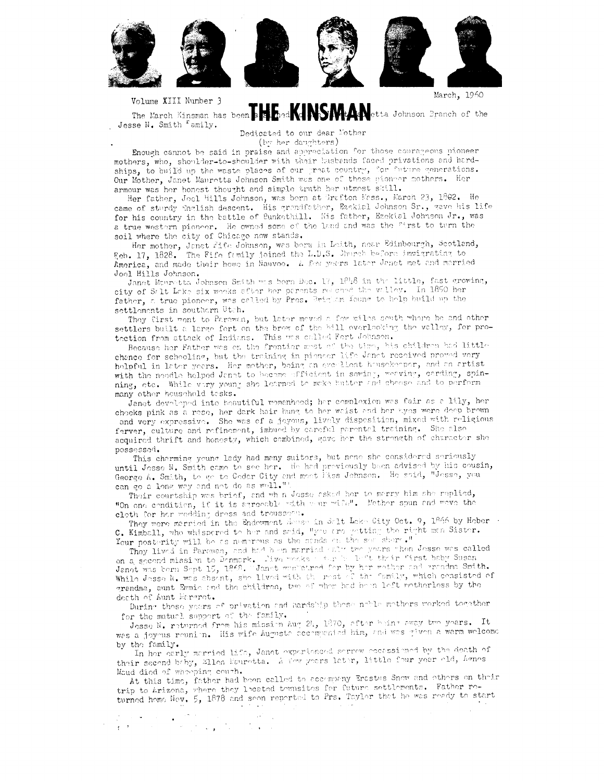

Volume XIII Number 3

Jesse N. Smith <sup>r</sup>amily.

The March Kinsman has been a state and MINSMMAN etta Johnson Branch of the

Dedicated to our dear Mother

(by her daughters)

Enough cannot be said in praise and appreciation for those courageous pioneer mothers, who, shoulder-to-shoulder with their hasbands faced privations and hardships, to build up the waste places of our great country, for future generations. Our Mother, Janet Mauretta Johnson Smith was one of those gioneer mothers. Her armour was her honest theught and simple truth her utmest skill.

Her father, Joel Hills Johnson, was bern at Grafton Mass., March 23, 1802. He came of sturdy English descent. His grandfather, Ezekial Johnson Sr., gave his life for his country in the battle of Bunkethill. His father, Ezekial Johnson Jr., was a true western pioneer. He owned some of the land and was the first to term the soil where the city of Chicago now stands.

Her mother, Janet Fife Johnson, was bern in Leith, near Edinbourgh, Scotland, Feb. 17, 1828. The Fife family joined the L.D.S. Jures before immigrating to America, and made their home in Mauveo. A few years later Janet met and married Joel Hills Johnson.

Janet Mauretta Johnson Smith was born Doc. 17, 1846 in the little, fast growing, city of Salt Lake six wooks after her parents resched the willey. In 1850 her father, a true pioneer, was called by Pres. Brigham found to help build up the settlements in southern Utch.

They first went to Parawan, but later meved a few miles senth where he and other settlers built a large fort on the brow of the hill everlooking the valley, for protection from attack of Indians. This was called Fort Johnson.

Because her father was en the frontier mest of the time, his children had little chance for scheoling, but the training in piencer life Janet received proved very helpful in later years. Her mother, being an everilent housekeeper, and an artist with the needle helped Janet to become efficient in sewing, weaving, carding, spinning, ote. While viry young she learned to make butter and choose and to perform many other household tesks.

Janet developed into beautiful womanhood; her complexion was fair as a lily, her cheeks pink as a rese, her dark hair hung to her whist and her ayes were deep brown and very expressive. She was of a joyous, lively disposition, mixed with religious ferver, culture and refinement, imbued by careful parental training. She also acquired thrift and honesty, which combined, gave her the strength of character she

possessed. This charming young lady had many suitors, but none she considered seriously until Josse N. Smith came to see her. He had previously been advised by his cousin, George A. Smith, to go to Cedar City and meet liss Johnson. He said, "Jesse, you can go a long way and not do as well.")

Their courtship was brief, and wh n Jesse asked her to marry him she replied, "On one condition, if it is agreeable with wear wife". Nother span and wave the cloth for her wedding dress and trousseen.

They were married in the Endowment House in Salt Lake City Oct. 9, 1866 by Hober . C. Kimball, who whispered to her and said, "you are getting the right man Sister. Your posterity will be as nemerous as the same state sea shere."

They lived in Parawan, and had been married salt two years when Jesse was called on a second mission to Denmark. Tive weeks when he left their first beby Susan Janet was born Sopt 15, 1868. Janet weaterned for by her methor and grandma Smith. gradual process as we average, on these made on those is a series of the second crisistom death of Aunt Margret.

During those years of privation and aardship those noble mothers worked together for the matucl support of the family.

Josse N. returned from his mission Aug 24, 1870, after being away two years. It was a joyous rounion. His wife Augusta accompanied him, and was given a warm welcome by the family.

In her early merried life, Janet experienced serrow eccassioned by the death of their second brby, Ellen Mouratta. A few years later, little four year old, henes Maud died of whoeping couth.

At this time, father had been called to accompany Enastus Snew and others on their trip to Arizona, where they located tewnsites for future settlements. Father returned home New. 5, 1878 and seen reported to Prs. Taylor that he was ready to start

 $\label{eq:2} \mathcal{L}(\mathcal{H}) = \frac{1}{2} \sum_{i=1}^n \mathcal{L}(\mathbf{q}_i, \mathbf{q}_i) + \sum_{i=1}^n \mathcal{L}(\mathbf{q}_i, \mathbf{q}_i)$  $\mathbb{Q}(\mathcal{A})$  $\epsilon$  .  $\tau$  .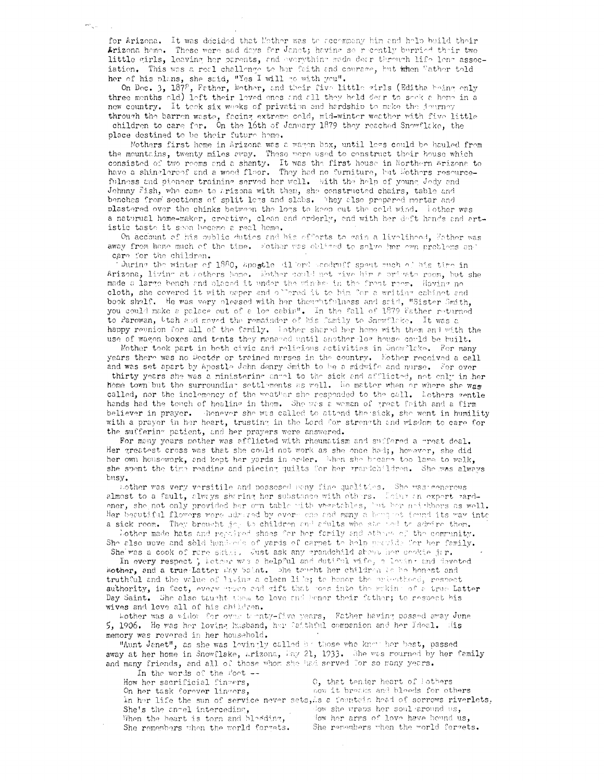for Arizona. It was decided that Mether was to accempany him and help build their Arizona heme. These were sad deys for Janet; having so recently berried their two little girls, leaving her parents, and everything mode dear through life leng association. This was a real challenge to her faith and courage, but when Vather told her of his plans, she said, "Yes<sup>"</sup>I will go with you".<br>On Dec. 3, 1878, Father, Mother, and their five little girls (Editha being only

 $\omega_{\infty}$ 

three months old) left their loved enes and all they held dear to sock a home in a new country. It teek six weeks of privation and hardship to make the journey through the barren waste, facing extreme cold, mid-winter weather with five little children to care for. On the 16th of January 1879 they reached Snowflake, the place destined to be their future home.

Mothers first home in Arizona was a wagon box, until legs could be hauled from the mountains, twenty miles away. These were used to construct their house which consisted of two rooms and a shanty. It was the first house in Northern Arizona to have a shingleroof and a wood floor. They had no furniture, but Ecthers resourcefulness and pioneer training served her well. With the help of young Jedy and Johnny Fish, who came to Arizona with them, she constructed chairs, table and benches from sections of split legs and slabs. They also prepared mortar and plastered over the chinks between the logs to keep cut the celd wind. Tother was a naturual home-maker, creative, clean and erderly, and with her deft hands and artistic taste it soon became a real home.

On account of his oublic duties and his efforts to gain a liveliheed, Father was away from home much of the time. Ecther was obliged to solve her ewn problems and care for the children.

During the winter of 1880, apostle dilerd coodruff spent much of his time in Arizona, living at hothers home. Eather could not give him a primate room, but she made a large bench and placed it under the window in the front room. Having no cloth, she covered it with paper and offered it to him for a writing cabinet and book shelf. He was very pleased with her thoughtfulness and said, "Sister Smith, you could make a palace out of a log cabin". In the fall of 1879 Father returned to Parowan, btah and moved the remainder of his family to Snowfloke. It was a happy reunion for all of the family. Wother shared her home with them and with the use of wagon boxes and tents they menared until another log house could be built.

Mother took part in both civic and religious activities in Gnow lake. For many years there was no Doctor or trained nurses in the country. Eather received a call and was set apart by Apostle John denry Smith to be a midwife and nurse. For over

thirty years she was a ministering angel to the sick and afflicted, not only in her home town but the surrounding settlements as well. He matter when or where she was called, nor the inclemency of the weather she responded to the call. Lothers wentle hands had the touch of healing in them. She was a weman of great faith and a firm believer in prayer. Thenever she was called to attend the sick, she went in humility with a prayer in her heart, trusting in the Lord for strength and wisdom to care for the suffering patient, and her prayers were answered.

For meny years mother was afflicted with rheumatism and suffered a great deal. Her greatest cross was that she could not work as she once had;, however, she did her own housework, and kept her yards in order. When she becare too lame to walk. she spent the time reading and piecing quilts for her grandchildren. She was always busy.

Lother was very versitile and possesed Hony fine qualities. She was cenerous almost to a fault, always sharing her substance with others. Leing an expert gardener, she not only provided her own table with vecetables, but her noidbors as well. Her beautiful flowers were udmired by every one and many a boughet found its way into a sick room. They brought jouth children and adults who she had to admire them.

bother made hats and repaired shoes for her family and others of the community. She also wove and sold hember's of yards of carpet to help provide for her family.

She was a cook of rare skill. Just ask any grandchild about her cookie jir. In every respect ; loteer was a helpful and dutiful vife, a loving and devoted Mother, and a true-Latter way Salnt. She teacht her children is be honest and truthful and the value of living a clean life; to henor the priestheed, respect authority, in fact, every more and gift that moes into the making of a true Latter Day Saint. She also taught them to love and benor their father; to respect his wives and love all of his children.

Lother was a vidov for over termty-five years, Father having passed away June 5, 1906. He was her loving hasband, her faithful companion and her Ideal. Mis memory was revered in her household.

"Aunt Janet", as she was levingly called by those who know her best, passed away at her home in Snowflake, Arizona, May 21, 1933. She was mourned by her family and many friends, and all of those whom she had served for so many years.

In the words of the fort --How her sacrificial fingers, O, that tender heart of Lothers On her task forever lingers, now it breaks and bleeds for others In her life the sun of service never sets, is a fountain head of sorrows riverlets, She's the angel interceding, dow she wraps her soul around us. fow her arms of love have bound us, When the heart is torn and bladding, She remembers when the world forgets. She remembers when the world formets.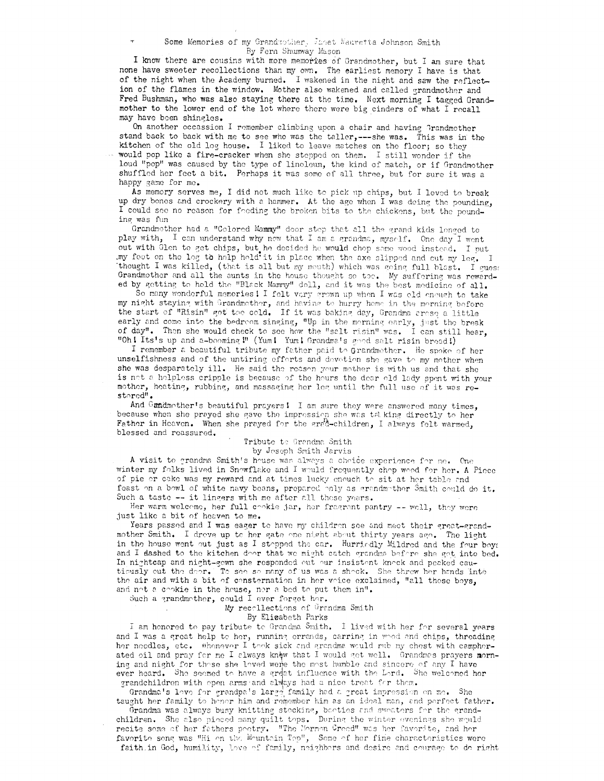I know there are cousins with more memories of Grandmother, but I am sure that none have sweeter recollections than my own. The earliest memory I have is that of the night when the Academy burned. I wakened in the night and saw the reflection of the flames in the window. Mother also wakened and called grandmother and Fred Bushman, who was also staying there at the time. Next morning I tagged Grandmother to the lower end of the lot where there were big cinders of what I recall may have been shingles.

On another occassion I remember climbing upon a chair and having Grandmother stand back to back with me to see who was the taller,---she was. This was in the kitchen of the old log house. I liked to leave matches on the floor; so they would pop like a fire-cracker when she stepped on them. I still wonder if the loud "pop" was caused by the type of linoleum, the kind of match, or if Grandmother shuffled her feet a bit. Perhaps it was some of all three, but for sure it was a happy game for me.

As memory serves me, I did not much like to pick up chips, but I loved to break up dry bones and crockery with a hammer. At the age when I was deing the pounding, I could see no reason for foeding the broken bits to the chickens, but the pounding was fun

Grandmother had a "Colored Mammy" door step that all the grand kids longed to play with, I can understand why now that I am a grandma, myself. One day I went out with Glen to get chips, but he decided he would chop some wood instead. I put my foot on the log to help hold it in place when the axe slipped and cut my leg. I thought I was killed, (that is all but my mouth) which was going full blast. I guest Grandmother and all the sunts in the house thought so too. My suffering was rewarded by getting to hold the "Black Mammy" doll, and it was the best medicine of all.

So many wonderful memories! I felt very grown up when I was old enough to take my night staying with Grandmether, and having to hurry home in the merning before the start of "Risin" got too cold. If it was baking day, Grandma aroso a little early and come into the bedreom singing, "Up in the merning early, just the break<br>of day". Then she would check to see how the "salt risin" was. I can still hear, "Oh! Its's up and a-booming!" (Yum! Yum! Grandma's good salt risin bread!)

I remember a beautiful tribute my father paid to Grandmother. He spoke of her unselfishness and of the untiring efforts and devotion she gave to my mother when she was desparately ill. He said the reason your mother is with us and that she is not a holpless cripple is because of the hours the dear old lady spent with your mother, heating, rubbing, and massaging her leg until the full use of it was restored".

And Gundmother's beautiful prayers! I am sure they were answered many times, because when she prayed she gave the impression she was talking directly to her Father in Heaven. When she prayed for the grad-children, I always felt warmed, blessed and reassured.

### Tribute to Grandma Smith by Joseph Smith Jarvis

A visit to grandma Smith's house was always a choice experience for me. One winter my folks lived in Snowflake and I would frequently chop wood for her. A Piece of pie or cake was my reward and at times lucky enouch to sit at her table and feast on a bowl of white navy beans, prepared only as grandmother Smith could do it. Such a taste -- it lingers with me after all these years.

Her warm welcome, her full cookie jar, her fragrant pantry -- well, they were just like a bit of heaven to me.

Years passed and I was eager to have my children see and meet their great-grandmother Smith. I drove up to her gate one night about thirty years ago. The light in the house went out just as I stopped the car. Hurriedly Mildred and the four boys and I dashed to the kitchen door that we might catch grandma before she got into bed. In nightcap and night-gown she responded out our insistent knock and peaked cautiously out the deer. To see so many of us was a sheck. She threw her hands into the air and with a bit of consternation in her voice exclaimed, "all those boys, and not a cookie in the house, nor a bed to put them in".

Such a grandmother, could I ever forget her.

My recollections of Grandma Smith

By Elicabeth Parks

I am honored to pay tribute to Grandma Smith. I lived with her for several years and I was a great help to her, running errands, carring in whod and chips, threading her needles, etc. Whenever I took sick and grandma would rub my chest with campherated oil and pray for me I always knew that I would get well. Grandmas prayers morning and night for those she loved were the most humble and sincere of any I have ever heard. She seemed to have a great influence with the Lord. She welcomed her

grandchildren with open arms and always had a nice treat for them.<br>Grandma's love for grandpa's large family had a great impression on me. She taught her family to honor him and remember him as an ideal man, and perfect father.

Grandma was always busy knitting stocking, booties and sweaters for the grandchildren. She also pieced many quilt tops. During the winter evenings she would recite some of her fathers poetry. "The Mormon Greed" was her favorite, and her favorite song was "Hi en the Meuntain Top", Some of hor fine characteristics were faith in God, humility, love of family, neighbors and desire and courage to do right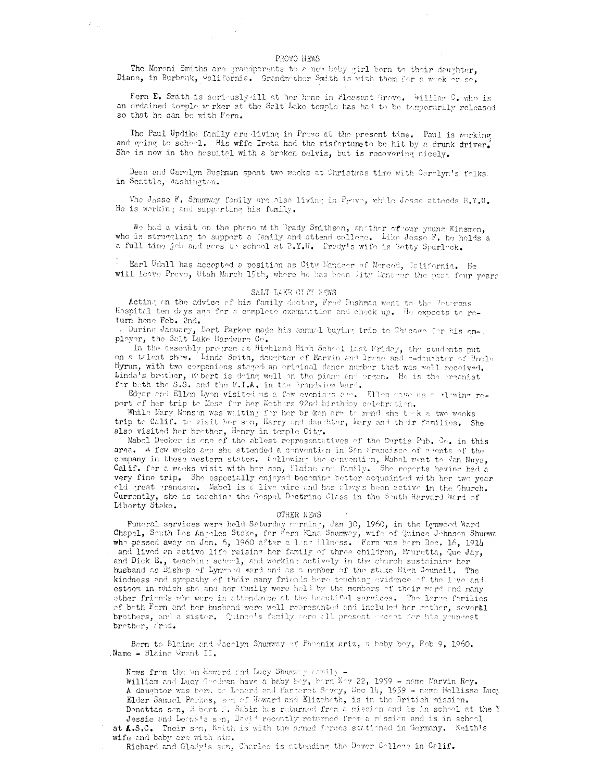#### PROVO NEWS

 $\mathcal{L}_{\mathcal{A}}$ 

 $\vec{r} = \vec{r}$ 

The Moreni Smiths are grandparents to a new baby girl bern to their daughter, Diane, in Burbank, waliformia. Grandmother Smith is with them for a wook or so.

Fern E. Smith is seriously ill at her home in Pleasant Grove. William C. who is an ordained tomple w rker at the Salt Lake temple has had to be tomporarily released so that he can be with Fern.

The Paul Updike family are living in Provo at the present time. Paul is working and going to school. His wife Irota had the misfertune to be hit by a drunk driver. She is now in the hospital with a broken pelvis, but is recovering nicely.

Dean and Carolyn Bushman spent two wooks at Christmas time with Carolyn's folks. in Seattle, Washington.

The Jasse F. Shumway family are also living in Prove, while Jesse attends B.Y.U. He is working and supporting his family.

We had a visit on the phone with Brady Smithson, another of our young Kinsmen, who is struggling to support a family and attend college. Like Jesse F. he holds a a full time job and goes to school at B.Y.U. Fredy's wife is Setty Spurleck.

Earl Udall has accepted a position as City Manager of Merced, Dalifornia. He will leave Prevo, Utah March 15th, where he has been Dity Dansger the past four years

# SALT LAKE CITY REWS

Acting on the advice of his family dector, Fred Bushman went to the Jotepans Hospital ten days ago for a complete examination and check up. He expects to return home Feb. 2nd.

. During January, Bert Parker made his annual buying trip to Chicago for his omployer, the Salt Lake Hardware Co.

In the assembly pregram at Highland High School last Friday, the students put on a talent show. Linda Smith, daughter of Marvin and lrane and a-daughter of Uncle Hyrum, with two companions staged an original dance number that was well received. Linda's brother, fort is doing well on the piane and organ. He is the erganist for both the S.S. and the M.I.A. in the Brandview Ward.

Edgar and Ellen Lyon visited us a few evenings are. Ellen cave us a riewing report of her trip to Mess for her Mothers 92nd birthday celebration.

While Mary Monson was waiting for her broken arm to mend she took a two weeks trip to Calif. to visit her son, Harry and daughter, Mary and their families. She also visited her brother, Henry in temple City.

Mabel Decker is one of the ablest representatives of the Curtis Pub. Co. in this area. A few wooks ago she attended a convention in San Francisco of agents of the company in these western states. Following the convention, Mahel went to Jan Nuys, Calif. for a weeks visit with her son, Blaine and family. She reperts having had a very fine trip. She especially enjoyed becoming better acquainted with her two year old great grandson. Mabel is a live wire and has always been active in the Church. Currently, she is teaching the Gospel Dectrine Class in the South Harvard Ward of Liberty Stake.

## OTHER NEWS

Funeral services were held Saturday merning, Jan 30, 1960, in the Lynwood Ward Chapel, South Les Angeles Stake, for Forn Elna Shumway, wife of Quince Johnson Shumwa who passed away on Jan. 6, 1960 after a ling illness. Form was bern Dec. 16, 1914 and lived an active life raising her family of three children, Mauretta, Que Jay, and Dick E., teaching school, and working actively in the church sustaining her husband as Bishep of Lynwood ward and as a member of the stake High Council. The kindness and sympathy of their many friends bere touching evidence of the love and esteem in which she and her family were held by the members of their word and many other friends who were in attendance at the beautiful services. The large families of both Form and her husband were well represented and included her methor, several brothers, and a sister. Quince's family were all present except for his youndest brother, Fred.

Bern to Blaine and Jacolyn Shumway of Phoenix Ariz, a beby boy, Feb 9, 1960. Name - Blaine Grant II.

Nows from the Wm Howard and Lucy Shumway Family -

William and Lucy Gredman have a baby boy, born New 22, 1959 - name Marvin Rey. A daughter was bern to Lenard and Margaret Sevey, Dec 1h, 1959 - name Mellissa Lucy Elder Samuel Perkes, son of Howard and Elizabeth, is in the British mission. Donettas son, Robert B. Sabin has returned from a mission and is in school at the Y Jessie and Leonats son, David recently returned from a mission and is in school at A.S.C. Their son, Koith is with the armed forces stationed in Germany. Keith's

wife and baby are with him. Richard and Glady's son, Charles is attending the Dover College in Calif.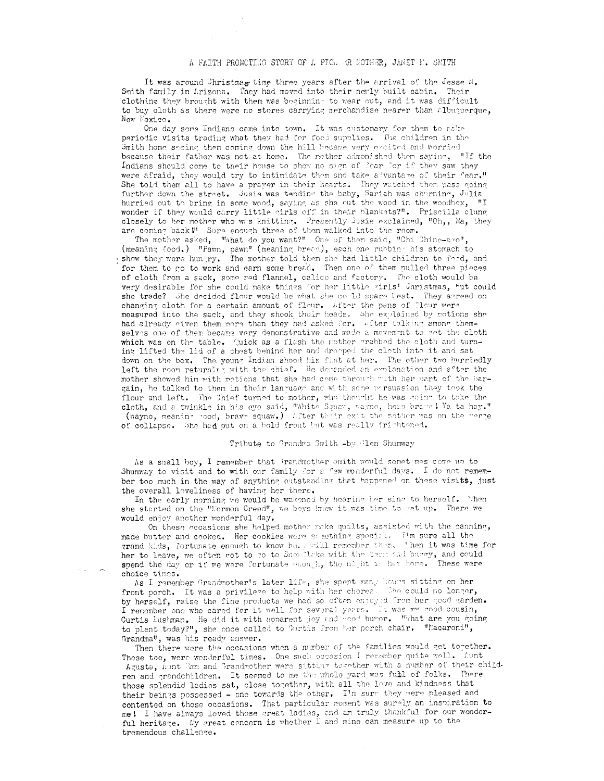It was around Christma. time three years after the arrival of the Jesse N. Smith family in Lrizona. They had moved into their newly built cabin. Their clothing they brought with them was beginning to wear out, and it was difficult to buy cloth as there were no stores carrying merchandise nearer than Albuquerque, New Mexico.

 $\bar{t}$ 

One day some Indians came into town. It was customary for them to vake periodic visits trading what they had for food supplies. The children in the Smith home seeing them coming down the hill became very excited and worried because their father was not at home. The mother admonished them saying, "If the Indians should come to their house to show no sign of fear for if they saw they were afraid, they would try to intimidate them and take advantage of their fear." She told them all to have a prayer in their hearts. They watched them pass going further down the street. Susie was tending the baby, Sariah was charning, Julia hurried out to bring in some wood, saying as she out the wood in the woodbox, "I wonder if they would carry little girls off in their blankets?". Priscilla clung closely to her mother who was knitting. Presently Susie exclaimed, "Oh,, Ma, they are coming back!" Sure enough three of them walked into the room.

The mother asked, "What do you want?" One of them said, "Chi Chine-avo" (meaning food.) "Pawn, pawn" (meaning bread), each one rubbing his stomach to show they were hungry. The mother told them she had little children to feed, and for them to go to work and earn some bread. Then one of them pulled three pieces of cloth from a sack, some red flannel, calico and factory. The cloth would be very desirable for she could make things for her little girls! Christmas, but could she trade? The decided flour would be what she could spare best. They agreed on changing cloth for a certain amount of flour. After the pans of flour were measured into the sack, and they shook their heads. She explained by motions she had already given them more than they had asked for. After talking among themselves one of them became very demonstrative and made a movement to get the cloth which was on the table. Quick as a flash the mother grabbed the sloth and turning lifted the lid of a chest behind her and dropped the cloth into it and sat down on the box. The young Indian shood his fist at her. The other two hurriedly left the room returning with the chief. He depended an evolunation and after the mother showed him with metions that she had come through with her part of the bargain, he talked to them in their language and with some persuasion they took the flour and left. The Chief turned to mother, who thought he was going to take the cloth, and a twinkle in his eye said, "White Squaw, wayno, heap brane ! Ya ta hay."<br>(wayno, meaning rood, brave squaw.) After their exit the mother was on the werge of collapse. She had put on a bold front but was really frishtened.

#### Tribute to Grandma Smith -by Tlen Shumway

As a small boy, I remember that Prandmother Smith would sometimes come up to Shumway to visit and to with our family for a few vonderful days. I do not remember too much in the way of anything outstanding that happened on these visits, just the overall loveliness of having her there.

In the early morning we would be wakened by hearing her sing to herself. When she started on the "Normon Creed", we boys knew it was time to get up. There we would enjoy another wonderful day.

On these occasions she helped mother nake quilts, assisted with the canning, made butter and cooked. Her cookies were something special. Tim sure all the grand kids, fortunate enough to know her, will remember them. When it was time for her to leave, we often got to go to Snow Make with the team and buggy, and could spend the day or if we were fortunate enough, the night is her hore. These were choice times.

As I remember Grandmother's later life, she spent many hours sitting on her front porch. It was a privilege to help with her chores. She could no longer, by herself, raise the fine products we had so often enjoyed from her good garden. I remember one who cared for it well for several years. It was my good cousin, Curtis Dushman. He did it with apparent joy and enod humor. What are you going to plant today?", she once called to Curtis from her perch chair. "Macaroni", Grandma", was his ready answer.

Then there were the occasions when a number of the families would get together. Those too, were wonderful times. One such occasion I remember quite well. Lunt Agusta, Aunt Smm and Grandmother were sitting together with a number of their children and grandchildren. It seemed to me the whole yard was full of folks. There those splendid ladies sat, close together, with all the love and kindness that their beings possessed - one towards the other. I'm sure they were pleased and contented on those occasions. That particular moment was surely an inspiration to me! I have always loved those great ladies, and an truly thankful for our wonderful heritage. My great concern is whether I and mine can measure up to the tremendous challenge.